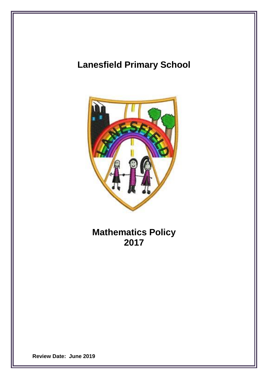# **Lanesfield Primary School**



**Mathematics Policy 2017**

**Review Date: June 2019**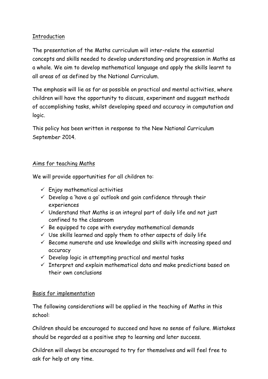## Introduction

The presentation of the Maths curriculum will inter-relate the essential concepts and skills needed to develop understanding and progression in Maths as a whole. We aim to develop mathematical language and apply the skills learnt to all areas of as defined by the National Curriculum.

The emphasis will lie as far as possible on practical and mental activities, where children will have the opportunity to discuss, experiment and suggest methods of accomplishing tasks, whilst developing speed and accuracy in computation and logic.

This policy has been written in response to the New National Curriculum September 2014.

## Aims for teaching Maths

We will provide opportunities for all children to:

- $\checkmark$  Enjoy mathematical activities
- $\checkmark$  Develop a 'have a go' outlook and gain confidence through their experiences
- $\checkmark$  Understand that Maths is an integral part of daily life and not just confined to the classroom
- $\checkmark$  Be equipped to cope with everyday mathematical demands
- $\checkmark$  Use skills learned and apply them to other aspects of daily life
- $\checkmark$  Become numerate and use knowledge and skills with increasing speed and accuracy
- $\checkmark$  Develop logic in attempting practical and mental tasks
- $\checkmark$  Interpret and explain mathematical data and make predictions based on their own conclusions

# Basis for implementation

The following considerations will be applied in the teaching of Maths in this school:

Children should be encouraged to succeed and have no sense of failure. Mistakes should be regarded as a positive step to learning and later success.

Children will always be encouraged to try for themselves and will feel free to ask for help at any time.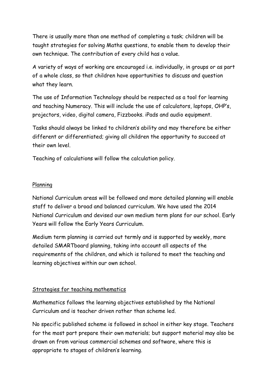There is usually more than one method of completing a task; children will be taught strategies for solving Maths questions, to enable them to develop their own technique. The contribution of every child has a value.

A variety of ways of working are encouraged i.e. individually, in groups or as part of a whole class, so that children have opportunities to discuss and question what they learn.

The use of Information Technology should be respected as a tool for learning and teaching Numeracy. This will include the use of calculators, laptops, OHP's, projectors, video, digital camera, Fizzbooks. iPads and audio equipment.

Tasks should always be linked to children's ability and may therefore be either different or differentiated; giving all children the opportunity to succeed at their own level.

Teaching of calculations will follow the calculation policy.

#### Planning

National Curriculum areas will be followed and more detailed planning will enable staff to deliver a broad and balanced curriculum. We have used the 2014 National Curriculum and devised our own medium term plans for our school. Early Years will follow the Early Years Curriculum.

Medium term planning is carried out termly and is supported by weekly, more detailed SMARTboard planning, taking into account all aspects of the requirements of the children, and which is tailored to meet the teaching and learning objectives within our own school.

# Strategies for teaching mathematics

Mathematics follows the learning objectives established by the National Curriculum and is teacher driven rather than scheme led.

No specific published scheme is followed in school in either key stage. Teachers for the most part prepare their own materials; but support material may also be drawn on from various commercial schemes and software, where this is appropriate to stages of children's learning.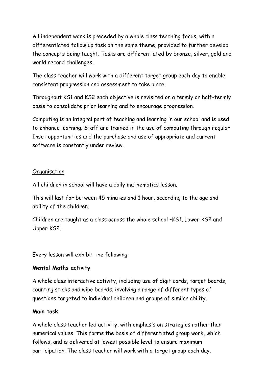All independent work is preceded by a whole class teaching focus, with a differentiated follow up task on the same theme, provided to further develop the concepts being taught. Tasks are differentiated by bronze, silver, gold and world record challenges.

The class teacher will work with a different target group each day to enable consistent progression and assessment to take place.

Throughout KS1 and KS2 each objective is revisited on a termly or half-termly basis to consolidate prior learning and to encourage progression.

Computing is an integral part of teaching and learning in our school and is used to enhance learning. Staff are trained in the use of computing through regular Inset opportunities and the purchase and use of appropriate and current software is constantly under review.

#### **Organisation**

All children in school will have a daily mathematics lesson.

This will last for between 45 minutes and 1 hour, according to the age and ability of the children.

Children are taught as a class across the whole school –KS1, Lower KS2 and Upper KS2.

Every lesson will exhibit the following:

# **Mental Maths activity**

A whole class interactive activity, including use of digit cards, target boards, counting sticks and wipe boards, involving a range of different types of questions targeted to individual children and groups of similar ability.

#### **Main task**

A whole class teacher led activity, with emphasis on strategies rather than numerical values. This forms the basis of differentiated group work, which follows, and is delivered at lowest possible level to ensure maximum participation. The class teacher will work with a target group each day.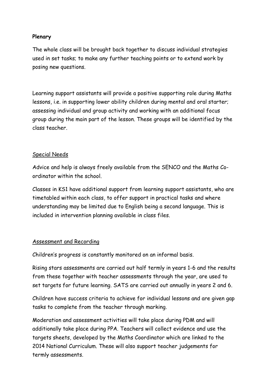#### **Plenary**

The whole class will be brought back together to discuss individual strategies used in set tasks; to make any further teaching points or to extend work by posing new questions.

Learning support assistants will provide a positive supporting role during Maths lessons, i.e. in supporting lower ability children during mental and oral starter; assessing individual and group activity and working with an additional focus group during the main part of the lesson. These groups will be identified by the class teacher.

## Special Needs

Advice and help is always freely available from the SENCO and the Maths Coordinator within the school.

Classes in KS1 have additional support from learning support assistants, who are timetabled within each class, to offer support in practical tasks and where understanding may be limited due to English being a second language. This is included in intervention planning available in class files.

#### Assessment and Recording

Children's progress is constantly monitored on an informal basis.

Rising stars assessments are carried out half termly in years 1-6 and the results from these together with teacher assessments through the year, are used to set targets for future learning. SATS are carried out annually in years 2 and 6.

Children have success criteria to achieve for individual lessons and are given gap tasks to complete from the teacher through marking.

Moderation and assessment activities will take place during PDM and will additionally take place during PPA. Teachers will collect evidence and use the targets sheets, developed by the Maths Coordinator which are linked to the 2014 National Curriculum. These will also support teacher judgements for termly assessments.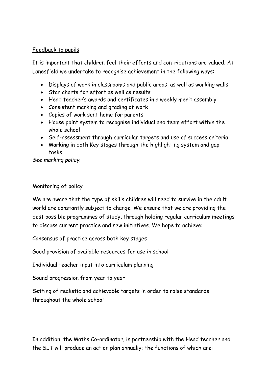#### Feedback to pupils

It is important that children feel their efforts and contributions are valued. At Lanesfield we undertake to recognise achievement in the following ways:

- Displays of work in classrooms and public areas, as well as working walls
- Star charts for effort as well as results
- Head teacher's awards and certificates in a weekly merit assembly
- Consistent marking and grading of work
- Copies of work sent home for parents
- House point system to recognise individual and team effort within the whole school
- Self-assessment through curricular targets and use of success criteria
- Marking in both Key stages through the highlighting system and gap tasks.

*See marking policy.*

#### Monitoring of policy

We are aware that the type of skills children will need to survive in the adult world are constantly subject to change. We ensure that we are providing the best possible programmes of study, through holding regular curriculum meetings to discuss current practice and new initiatives. We hope to achieve:

Consensus of practice across both key stages

Good provision of available resources for use in school

Individual teacher input into curriculum planning

Sound progression from year to year

Setting of realistic and achievable targets in order to raise standards throughout the whole school

In addition, the Maths Co-ordinator, in partnership with the Head teacher and the SLT will produce an action plan annually; the functions of which are: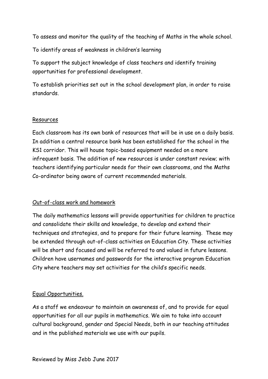To assess and monitor the quality of the teaching of Maths in the whole school.

To identify areas of weakness in children's learning

To support the subject knowledge of class teachers and identify training opportunities for professional development.

To establish priorities set out in the school development plan, in order to raise standards.

#### Resources

Each classroom has its own bank of resources that will be in use on a daily basis. In addition a central resource bank has been established for the school in the KS1 corridor. This will house topic-based equipment needed on a more infrequent basis. The addition of new resources is under constant review; with teachers identifying particular needs for their own classrooms, and the Maths Co-ordinator being aware of current recommended materials.

#### Out-of-class work and homework

The daily mathematics lessons will provide opportunities for children to practice and consolidate their skills and knowledge, to develop and extend their techniques and strategies, and to prepare for their future learning. These may be extended through out-of-class activities on Education City. These activities will be short and focused and will be referred to and valued in future lessons. Children have usernames and passwords for the interactive program Education City where teachers may set activities for the child's specific needs.

#### Equal Opportunities.

As a staff we endeavour to maintain an awareness of, and to provide for equal opportunities for all our pupils in mathematics. We aim to take into account cultural background, gender and Special Needs, both in our teaching attitudes and in the published materials we use with our pupils.